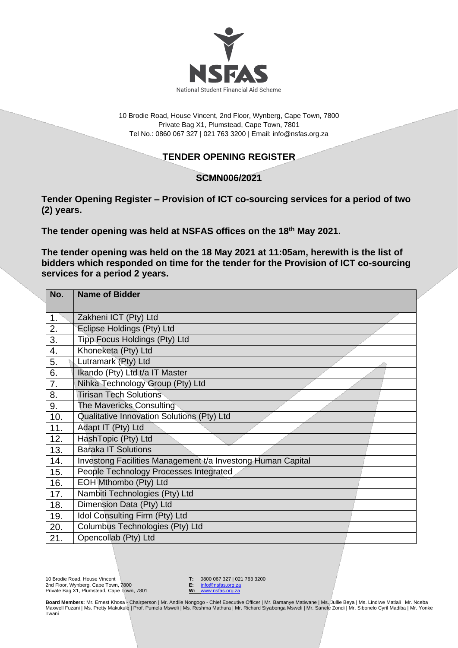

10 Brodie Road, House Vincent, 2nd Floor, Wynberg, Cape Town, 7800 Private Bag X1, Plumstead, Cape Town, 7801 Tel No.: 0860 067 327 | 021 763 3200 | Email[: info@nsfas.org.za](mailto:info@nsfas.org.za)

## **TENDER OPENING REGISTER**

## **SCMN006/2021**

**Tender Opening Register – Provision of ICT co-sourcing services for a period of two (2) years.**

**The tender opening was held at NSFAS offices on the 18th May 2021.**

**The tender opening was held on the 18 May 2021 at 11:05am, herewith is the list of bidders which responded on time for the tender for the Provision of ICT co-sourcing services for a period 2 years.**

| No. | <b>Name of Bidder</b>                                       |
|-----|-------------------------------------------------------------|
| 1.  | Zakheni ICT (Pty) Ltd                                       |
| 2.  | Eclipse Holdings (Pty) Ltd                                  |
| 3.  | Tipp Focus Holdings (Pty) Ltd                               |
| 4.  | Khoneketa (Pty) Ltd                                         |
| 5.  | Lutramark (Pty) Ltd                                         |
| 6.  | Ikando (Pty) Ltd t/a IT Master                              |
| 7.  | Nihka Technology Group (Pty) Ltd                            |
| 8.  | <b>Tirisan Tech Solutions</b>                               |
| 9.  | The Mavericks Consulting                                    |
| 10. | Qualitative Innovation Solutions (Pty) Ltd                  |
| 11. | Adapt IT (Pty) Ltd                                          |
| 12. | HashTopic (Pty) Ltd                                         |
| 13. | <b>Baraka IT Solutions</b>                                  |
| 14. | Investong Facilities Management t/a Investong Human Capital |
| 15. | People Technology Processes Integrated                      |
| 16. | EOH Mthombo (Pty) Ltd                                       |
| 17. | Nambiti Technologies (Pty) Ltd                              |
| 18. | Dimension Data (Pty) Ltd                                    |
| 19. | Idol Consulting Firm (Pty) Ltd                              |
| 20. | Columbus Technologies (Pty) Ltd                             |
| 21. | Opencollab (Pty) Ltd                                        |

**T:** 0800 067 327 | 021 763 3200<br>**E:** info@nsfas.org.za

**E:** [info@nsfas.org.za](mailto:info@nsfas.org.za) **W:** [www.nsfas.org.za](http://www.nsfas.org.za/)

**Board Members:** Mr. Ernest Khosa - Chairperson | Mr. Andile Nongogo - Chief Executive Officer | Mr. Bamanye Matiwane | Ms. Jullie Beya | Ms. Lindiwe Matlali | Mr. Nceba Maxwell Fuzani | Ms. Pretty Makukule | Prof. Pumela Msweli | Ms. Reshma Mathura | Mr. Richard Siyabonga Msweli | Mr. Sanele Zondi | Mr. Sibonelo Cyril Madiba | Mr. Yonke Twani